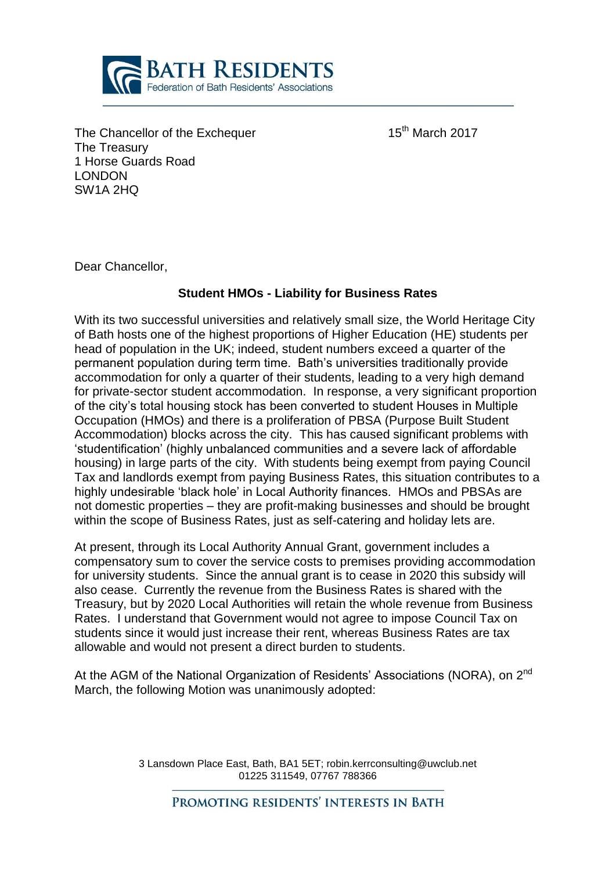

The Chancellor of the Exchequer 15<sup>th</sup> March 2017 The Treasury 1 Horse Guards Road LONDON SW1A 2HQ

Dear Chancellor,

## **Student HMOs - Liability for Business Rates**

With its two successful universities and relatively small size, the World Heritage City of Bath hosts one of the highest proportions of Higher Education (HE) students per head of population in the UK; indeed, student numbers exceed a quarter of the permanent population during term time. Bath's universities traditionally provide accommodation for only a quarter of their students, leading to a very high demand for private-sector student accommodation. In response, a very significant proportion of the city's total housing stock has been converted to student Houses in Multiple Occupation (HMOs) and there is a proliferation of PBSA (Purpose Built Student Accommodation) blocks across the city. This has caused significant problems with 'studentification' (highly unbalanced communities and a severe lack of affordable housing) in large parts of the city. With students being exempt from paying Council Tax and landlords exempt from paying Business Rates, this situation contributes to a highly undesirable 'black hole' in Local Authority finances. HMOs and PBSAs are not domestic properties – they are profit-making businesses and should be brought within the scope of Business Rates, just as self-catering and holiday lets are.

At present, through its Local Authority Annual Grant, government includes a compensatory sum to cover the service costs to premises providing accommodation for university students. Since the annual grant is to cease in 2020 this subsidy will also cease. Currently the revenue from the Business Rates is shared with the Treasury, but by 2020 Local Authorities will retain the whole revenue from Business Rates. I understand that Government would not agree to impose Council Tax on students since it would just increase their rent, whereas Business Rates are tax allowable and would not present a direct burden to students.

At the AGM of the National Organization of Residents' Associations (NORA), on 2<sup>nd</sup> March, the following Motion was unanimously adopted:

> 3 Lansdown Place East, Bath, BA1 5ET; robin.kerrconsulting@uwclub.net 01225 311549, 07767 788366